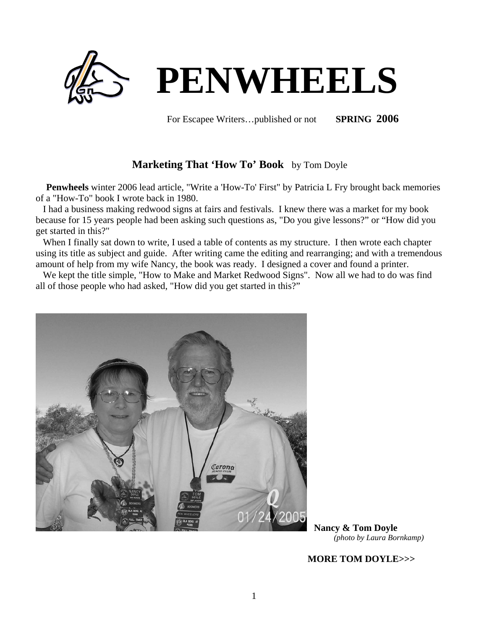

For Escapee Writers…published or not **SPRING 2006**

# **Marketing That 'How To' Book** by Tom Doyle

 **Penwheels** winter 2006 lead article, "Write a 'How-To' First" by Patricia L Fry brought back memories of a "How-To" book I wrote back in 1980.

 I had a business making redwood signs at fairs and festivals. I knew there was a market for my book because for 15 years people had been asking such questions as, "Do you give lessons?" or "How did you get started in this?"

 When I finally sat down to write, I used a table of contents as my structure. I then wrote each chapter using its title as subject and guide. After writing came the editing and rearranging; and with a tremendous amount of help from my wife Nancy, the book was ready. I designed a cover and found a printer.

 We kept the title simple, "How to Make and Market Redwood Signs". Now all we had to do was find all of those people who had asked, "How did you get started in this?"



 **Nancy & Tom Doyle** *(photo by Laura Bornkamp)*

 **MORE TOM DOYLE>>>**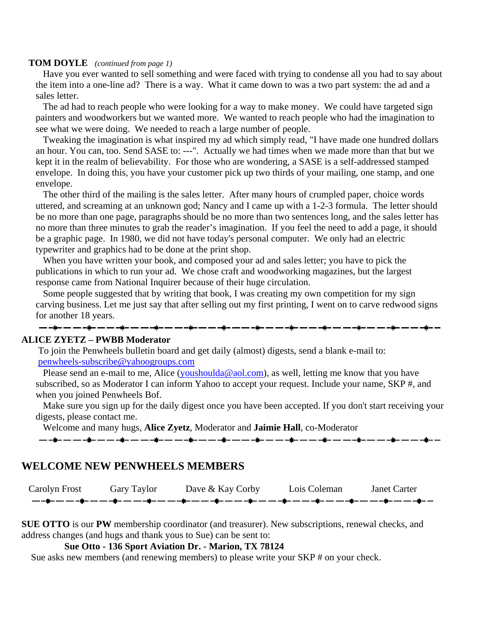### **TOM DOYLE** *(continued from page 1)*

 Have you ever wanted to sell something and were faced with trying to condense all you had to say about the item into a one-line ad? There is a way. What it came down to was a two part system: the ad and a sales letter.

 The ad had to reach people who were looking for a way to make money. We could have targeted sign painters and woodworkers but we wanted more. We wanted to reach people who had the imagination to see what we were doing. We needed to reach a large number of people.

 Tweaking the imagination is what inspired my ad which simply read, "I have made one hundred dollars an hour. You can, too. Send SASE to: ---". Actually we had times when we made more than that but we kept it in the realm of believability. For those who are wondering, a SASE is a self-addressed stamped envelope. In doing this, you have your customer pick up two thirds of your mailing, one stamp, and one envelope.

 The other third of the mailing is the sales letter. After many hours of crumpled paper, choice words uttered, and screaming at an unknown god; Nancy and I came up with a 1-2-3 formula. The letter should be no more than one page, paragraphs should be no more than two sentences long, and the sales letter has no more than three minutes to grab the reader's imagination. If you feel the need to add a page, it should be a graphic page. In 1980, we did not have today's personal computer. We only had an electric typewriter and graphics had to be done at the print shop.

 When you have written your book, and composed your ad and sales letter; you have to pick the publications in which to run your ad. We chose craft and woodworking magazines, but the largest response came from National Inquirer because of their huge circulation.

 Some people suggested that by writing that book, I was creating my own competition for my sign carving business. Let me just say that after selling out my first printing, I went on to carve redwood signs for another 18 years.

### **ALICE ZYETZ – PWBB Moderator**

To join the Penwheels bulletin board and get daily (almost) digests, send a blank e-mail to: [penwheels-subscribe@yahoogroups.com](mailto:penwheels-subscribe@yahoogroups.com)

Please send an e-mail to me, Alice ([youshoulda@aol.com\)](mailto:youshoulda@aol.com), as well, letting me know that you have subscribed, so as Moderator I can inform Yahoo to accept your request. Include your name, SKP #, and when you joined Penwheels Bof.

 Make sure you sign up for the daily digest once you have been accepted. If you don't start receiving your digests, please contact me.

Welcome and many hugs, **Alice Zyetz**, Moderator and **Jaimie Hall**, co-Moderator

# 

# **WELCOME NEW PENWHEELS MEMBERS**

Carolyn Frost Gary Taylor Dave & Kay Corby Lois Coleman Janet Carter<br>  $-\frac{1}{2}-\frac{1}{2}-\frac{1}{2}-\frac{1}{2}-\frac{1}{2}-\frac{1}{2}-\frac{1}{2}-\frac{1}{2}-\frac{1}{2}-\frac{1}{2}-\frac{1}{2}-\frac{1}{2}-\frac{1}{2}-\frac{1}{2}-\frac{1}{2}-\frac{1}{2}-\frac{1}{2}-\frac{1}{2}-\frac{1}{2}-\frac{1}{2}-\frac{1}{2}-\frac{$ 

**SUE OTTO** is our **PW** membership coordinator (and treasurer). New subscriptions, renewal checks, and address changes (and hugs and thank yous to Sue) can be sent to:

# **Sue Otto - 136 Sport Aviation Dr. - Marion, TX 78124**

Sue asks new members (and renewing members) to please write your SKP # on your check.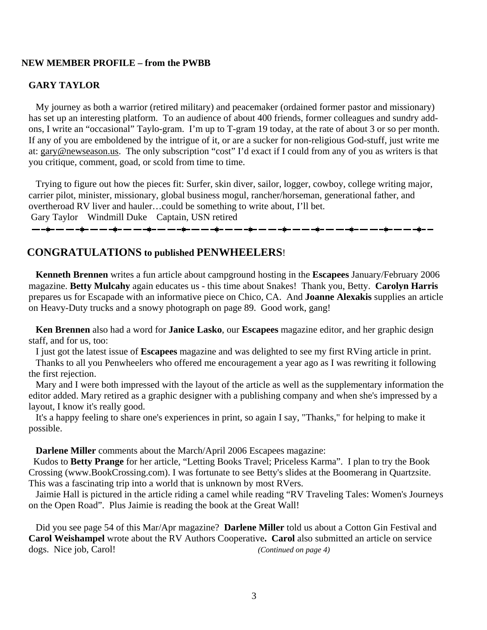# **NEW MEMBER PROFILE – from the PWBB**

# **GARY TAYLOR**

My journey as both a warrior (retired military) and peacemaker (ordained former pastor and missionary) has set up an interesting platform. To an audience of about 400 friends, former colleagues and sundry addons, I write an "occasional" Taylo-gram. I'm up to T-gram 19 today, at the rate of about 3 or so per month. If any of you are emboldened by the intrigue of it, or are a sucker for non-religious God-stuff, just write me at: [gary@newseason.us](mailto:gary@newseason.us). The only subscription "cost" I'd exact if I could from any of you as writers is that you critique, comment, goad, or scold from time to time.

 Trying to figure out how the pieces fit: Surfer, skin diver, sailor, logger, cowboy, college writing major, carrier pilot, minister, missionary, global business mogul, rancher/horseman, generational father, and overtheroad RV liver and hauler…could be something to write about, I'll bet. Gary Taylor Windmill Duke Captain, USN retired

# **CONGRATULATIONS to published PENWHEELERS**!

 **Kenneth Brennen** writes a fun article about campground hosting in the **Escapees** January/February 2006 magazine. **Betty Mulcahy** again educates us - this time about Snakes! Thank you, Betty. **Carolyn Harris** prepares us for Escapade with an informative piece on Chico, CA. And **Joanne Alexakis** supplies an article on Heavy-Duty trucks and a snowy photograph on page 89. Good work, gang!

 **Ken Brennen** also had a word for **Janice Lasko**, our **Escapees** magazine editor, and her graphic design staff, and for us, too:

I just got the latest issue of **Escapees** magazine and was delighted to see my first RVing article in print.

 Thanks to all you Penwheelers who offered me encouragement a year ago as I was rewriting it following the first rejection.

 Mary and I were both impressed with the layout of the article as well as the supplementary information the editor added. Mary retired as a graphic designer with a publishing company and when she's impressed by a layout, I know it's really good.

 It's a happy feeling to share one's experiences in print, so again I say, "Thanks," for helping to make it possible.

**Darlene Miller** comments about the March/April 2006 Escapees magazine:

 Kudos to **Betty Prange** for her article, "Letting Books Travel; Priceless Karma". I plan to try the Book Crossing (www.BookCrossing.com). I was fortunate to see Betty's slides at the Boomerang in Quartzsite. This was a fascinating trip into a world that is unknown by most RVers.

Jaimie Hall is pictured in the article riding a camel while reading "RV Traveling Tales: Women's Journeys on the Open Road". Plus Jaimie is reading the book at the Great Wall!

 Did you see page 54 of this Mar/Apr magazine? **Darlene Miller** told us about a Cotton Gin Festival and **Carol Weishampel** wrote about the RV Authors Cooperative**. Carol** also submitted an article on service dogs. Nice job, Carol! *(Continued on page 4)*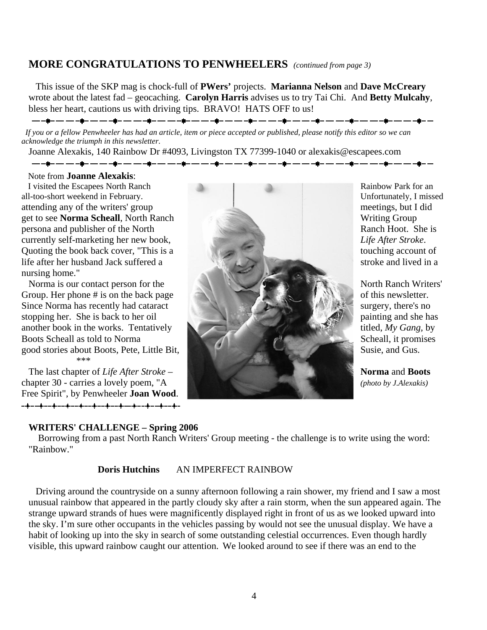# **MORE CONGRATULATIONS TO PENWHEELERS** *(continued from page 3)*

 This issue of the SKP mag is chock-full of **PWers'** projects. **Marianna Nelson** and **Dave McCreary** wrote about the latest fad – geocaching. **Carolyn Harris** advises us to try Tai Chi. And **Betty Mulcahy**, bless her heart, cautions us with driving tips. BRAVO! HATS OFF to us!

<del>▁</del>▁▁▊▁▁▁▁▁▁▊▁▁▁▁▁▁▊▁▁▁▁▁▁▊▁▁▁▁▁▌▁▁▁▁▁▌▁▁▁▁▁▎▎▎▁▁▏▁▁▁▁▎▌▁▁▁▁▁▎▌▁▁▁▁▁▌▁▁▁▁▁▎▌▁▁▁

 *If you or a fellow Penwheeler has had an article, item or piece accepted or published, please notify this editor so we can acknowledge the triumph in this newsletter.* 

Joanne Alexakis, 140 Rainbow Dr #4093, Livingston TX 77399-1040 or alexakis@escapees.com

Note from **Joanne Alexakis**:

all-too-short weekend in February. currently self-marketing her new book, nursing home."

\*\*\*

Free Spirit", by Penwheeler **Joan Wood**. - + - - + - - + - - + - - + - - + - - + - - + - - + - - + - - + - - + -

# **WRITERS' CHALLENGE – Spring 2006**



Unfortunately, I missed *Life After Stroke*.

 Borrowing from a past North Ranch Writers' Group meeting - the challenge is to write using the word: "Rainbow."

# **Doris Hutchins** AN IMPERFECT RAINBOW

 Driving around the countryside on a sunny afternoon following a rain shower, my friend and I saw a most unusual rainbow that appeared in the partly cloudy sky after a rain storm, when the sun appeared again. The strange upward strands of hues were magnificently displayed right in front of us as we looked upward into the sky. I'm sure other occupants in the vehicles passing by would not see the unusual display. We have a habit of looking up into the sky in search of some outstanding celestial occurrences. Even though hardly visible, this upward rainbow caught our attention.We looked around to see if there was an end to the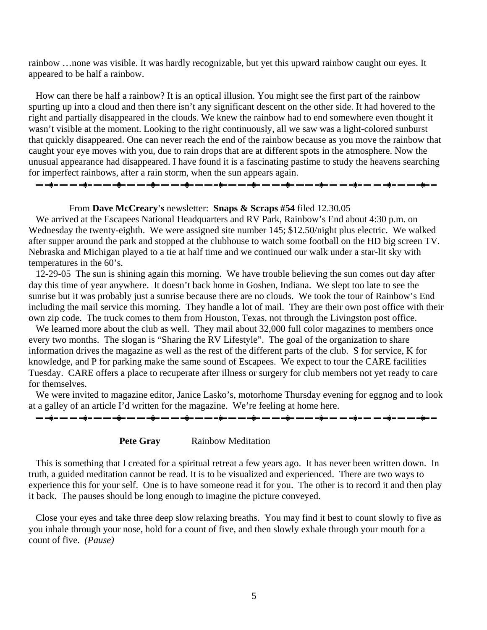rainbow …none was visible. It was hardly recognizable, but yet this upward rainbow caught our eyes. It appeared to be half a rainbow.

 How can there be half a rainbow? It is an optical illusion. You might see the first part of the rainbow spurting up into a cloud and then there isn't any significant descent on the other side. It had hovered to the right and partially disappeared in the clouds. We knew the rainbow had to end somewhere even thought it wasn't visible at the moment. Looking to the right continuously, all we saw was a light-colored sunburst that quickly disappeared. One can never reach the end of the rainbow because as you move the rainbow that caught your eye moves with you, due to rain drops that are at different spots in the atmosphere. Now the unusual appearance had disappeared. I have found it is a fascinating pastime to study the heavens searching for imperfect rainbows, after a rain storm, when the sun appears again. 

### From **Dave McCreary's** newsletter: **Snaps & Scraps #54** filed 12.30.05

We arrived at the Escapees National Headquarters and RV Park, Rainbow's End about 4:30 p.m. on Wednesday the twenty-eighth. We were assigned site number 145; \$12.50/night plus electric. We walked after supper around the park and stopped at the clubhouse to watch some football on the HD big screen TV. Nebraska and Michigan played to a tie at half time and we continued our walk under a star-lit sky with temperatures in the 60's.

 12-29-05 The sun is shining again this morning. We have trouble believing the sun comes out day after day this time of year anywhere. It doesn't back home in Goshen, Indiana. We slept too late to see the sunrise but it was probably just a sunrise because there are no clouds. We took the tour of Rainbow's End including the mail service this morning. They handle a lot of mail. They are their own post office with their own zip code. The truck comes to them from Houston, Texas, not through the Livingston post office.

We learned more about the club as well. They mail about 32,000 full color magazines to members once every two months. The slogan is "Sharing the RV Lifestyle". The goal of the organization to share information drives the magazine as well as the rest of the different parts of the club. S for service, K for knowledge, and P for parking make the same sound of Escapees. We expect to tour the CARE facilities Tuesday. CARE offers a place to recuperate after illness or surgery for club members not yet ready to care for themselves.

 We were invited to magazine editor, Janice Lasko's, motorhome Thursday evening for eggnog and to look at a galley of an article I'd written for the magazine. We're feeling at home here.





 This is something that I created for a spiritual retreat a few years ago. It has never been written down. In truth, a guided meditation cannot be read. It is to be visualized and experienced. There are two ways to experience this for your self. One is to have someone read it for you. The other is to record it and then play it back. The pauses should be long enough to imagine the picture conveyed.

 Close your eyes and take three deep slow relaxing breaths. You may find it best to count slowly to five as you inhale through your nose, hold for a count of five, and then slowly exhale through your mouth for a count of five. *(Pause)*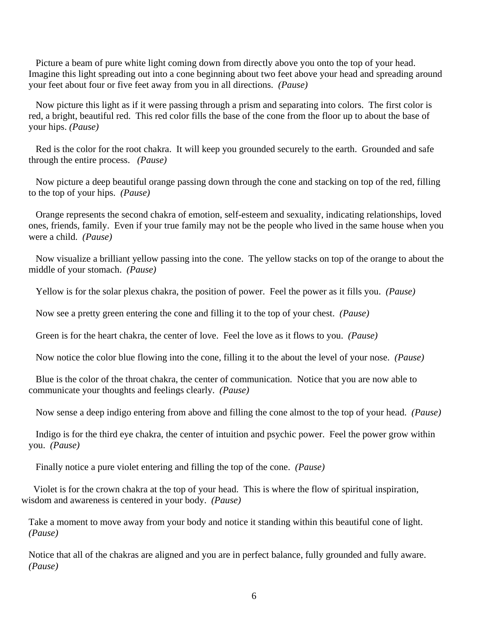Picture a beam of pure white light coming down from directly above you onto the top of your head. Imagine this light spreading out into a cone beginning about two feet above your head and spreading around your feet about four or five feet away from you in all directions. *(Pause)* 

 Now picture this light as if it were passing through a prism and separating into colors. The first color is red, a bright, beautiful red. This red color fills the base of the cone from the floor up to about the base of your hips. *(Pause)*

 Red is the color for the root chakra. It will keep you grounded securely to the earth. Grounded and safe through the entire process. *(Pause)*

 Now picture a deep beautiful orange passing down through the cone and stacking on top of the red, filling to the top of your hips. *(Pause)*

 Orange represents the second chakra of emotion, self-esteem and sexuality, indicating relationships, loved ones, friends, family. Even if your true family may not be the people who lived in the same house when you were a child. *(Pause)*

 Now visualize a brilliant yellow passing into the cone. The yellow stacks on top of the orange to about the middle of your stomach. *(Pause)*

Yellow is for the solar plexus chakra, the position of power. Feel the power as it fills you. *(Pause)*

Now see a pretty green entering the cone and filling it to the top of your chest. *(Pause)*

Green is for the heart chakra, the center of love. Feel the love as it flows to you. *(Pause)*

Now notice the color blue flowing into the cone, filling it to the about the level of your nose. *(Pause)*

 Blue is the color of the throat chakra, the center of communication. Notice that you are now able to communicate your thoughts and feelings clearly. *(Pause)*

Now sense a deep indigo entering from above and filling the cone almost to the top of your head. *(Pause)*

 Indigo is for the third eye chakra, the center of intuition and psychic power. Feel the power grow within you. *(Pause)*

Finally notice a pure violet entering and filling the top of the cone. *(Pause)*

 Violet is for the crown chakra at the top of your head. This is where the flow of spiritual inspiration, wisdom and awareness is centered in your body. *(Pause)*

Take a moment to move away from your body and notice it standing within this beautiful cone of light. *(Pause)*

Notice that all of the chakras are aligned and you are in perfect balance, fully grounded and fully aware. *(Pause)*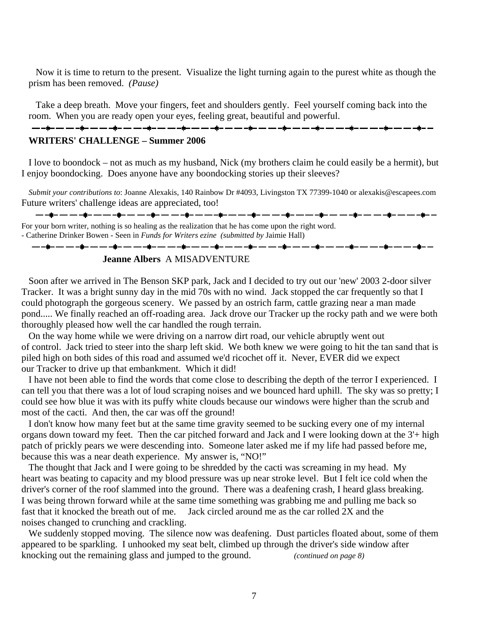Now it is time to return to the present. Visualize the light turning again to the purest white as though the prism has been removed. *(Pause)*

 Take a deep breath. Move your fingers, feet and shoulders gently. Feel yourself coming back into the room. When you are ready open your eyes, feeling great, beautiful and powerful. 

## **WRITERS' CHALLENGE – Summer 2006**

 I love to boondock – not as much as my husband, Nick (my brothers claim he could easily be a hermit), but I enjoy boondocking. Does anyone have any boondocking stories up their sleeves?

*Submit your contributions to*: Joanne Alexakis, 140 Rainbow Dr #4093, Livingston TX 77399-1040 or alexakis@escapees.com Future writers' challenge ideas are appreciated, too!

For your born writer, nothing is so healing as the realization that he has come upon the right word. - Catherine Drinker Bowen - Seen in *Funds for Writers ezine (submitted by* Jaimie Hall)

# <del>▁</del>▁▁▊▁▁▁▁▁▁▊▁▁▁▁▁▋▁▁▁▁▂▌▁▁▁▁▂▌▁▁▁▁▁▌▁▁▁▁▁▁▌▁▁▁▁▁▎▌▏▁▁▁▁▁▌▁▁▁▁▁▌▁▁▁▁▁▌▁▁▁▁▁▌▁▁▁▁▌▁▁

# **Jeanne Albers** A MISADVENTURE

 Soon after we arrived in The Benson SKP park, Jack and I decided to try out our 'new' 2003 2-door silver Tracker. It was a bright sunny day in the mid 70s with no wind. Jack stopped the car frequently so that I could photograph the gorgeous scenery. We passed by an ostrich farm, cattle grazing near a man made pond..... We finally reached an off-roading area. Jack drove our Tracker up the rocky path and we were both thoroughly pleased how well the car handled the rough terrain.

 On the way home while we were driving on a narrow dirt road, our vehicle abruptly went out of control. Jack tried to steer into the sharp left skid. We both knew we were going to hit the tan sand that is piled high on both sides of this road and assumed we'd ricochet off it. Never, EVER did we expect our Tracker to drive up that embankment. Which it did!

 I have not been able to find the words that come close to describing the depth of the terror I experienced. I can tell you that there was a lot of loud scraping noises and we bounced hard uphill. The sky was so pretty; I could see how blue it was with its puffy white clouds because our windows were higher than the scrub and most of the cacti. And then, the car was off the ground!

 I don't know how many feet but at the same time gravity seemed to be sucking every one of my internal organs down toward my feet. Then the car pitched forward and Jack and I were looking down at the 3'+ high patch of prickly pears we were descending into. Someone later asked me if my life had passed before me, because this was a near death experience. My answer is, "NO!"

 The thought that Jack and I were going to be shredded by the cacti was screaming in my head. My heart was beating to capacity and my blood pressure was up near stroke level. But I felt ice cold when the driver's corner of the roof slammed into the ground. There was a deafening crash, I heard glass breaking. I was being thrown forward while at the same time something was grabbing me and pulling me back so fast that it knocked the breath out of me. Jack circled around me as the car rolled 2X and the noises changed to crunching and crackling.

 We suddenly stopped moving. The silence now was deafening. Dust particles floated about, some of them appeared to be sparkling. I unhooked my seat belt, climbed up through the driver's side window after knocking out the remaining glass and jumped to the ground. *(continued on page 8)*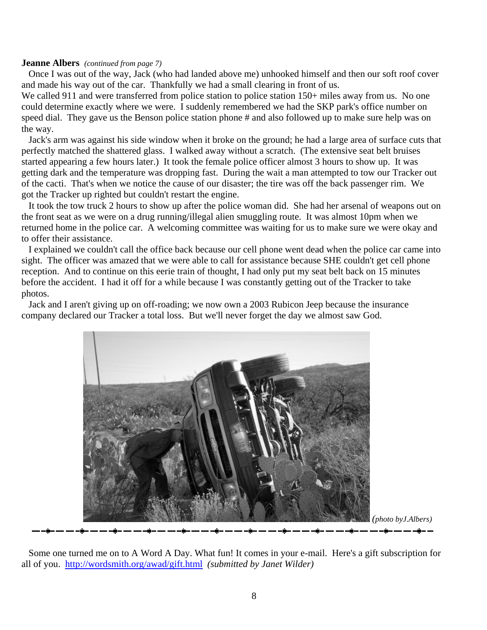## **Jeanne Albers** *(continued from page 7)*

 Once I was out of the way, Jack (who had landed above me) unhooked himself and then our soft roof cover and made his way out of the car. Thankfully we had a small clearing in front of us.

We called 911 and were transferred from police station to police station 150+ miles away from us. No one could determine exactly where we were. I suddenly remembered we had the SKP park's office number on speed dial. They gave us the Benson police station phone # and also followed up to make sure help was on the way.

 Jack's arm was against his side window when it broke on the ground; he had a large area of surface cuts that perfectly matched the shattered glass. I walked away without a scratch. (The extensive seat belt bruises started appearing a few hours later.) It took the female police officer almost 3 hours to show up. It was getting dark and the temperature was dropping fast. During the wait a man attempted to tow our Tracker out of the cacti. That's when we notice the cause of our disaster; the tire was off the back passenger rim. We got the Tracker up righted but couldn't restart the engine.

 It took the tow truck 2 hours to show up after the police woman did. She had her arsenal of weapons out on the front seat as we were on a drug running/illegal alien smuggling route. It was almost 10pm when we returned home in the police car. A welcoming committee was waiting for us to make sure we were okay and to offer their assistance.

 I explained we couldn't call the office back because our cell phone went dead when the police car came into sight. The officer was amazed that we were able to call for assistance because SHE couldn't get cell phone reception. And to continue on this eerie train of thought, I had only put my seat belt back on 15 minutes before the accident. I had it off for a while because I was constantly getting out of the Tracker to take photos.

 Jack and I aren't giving up on off-roading; we now own a 2003 Rubicon Jeep because the insurance company declared our Tracker a total loss. But we'll never forget the day we almost saw God.



 Some one turned me on to A Word A Day. What fun! It comes in your e-mail. Here's a gift subscription for all of you. <http://wordsmith.org/awad/gift.html>*(submitted by Janet Wilder)*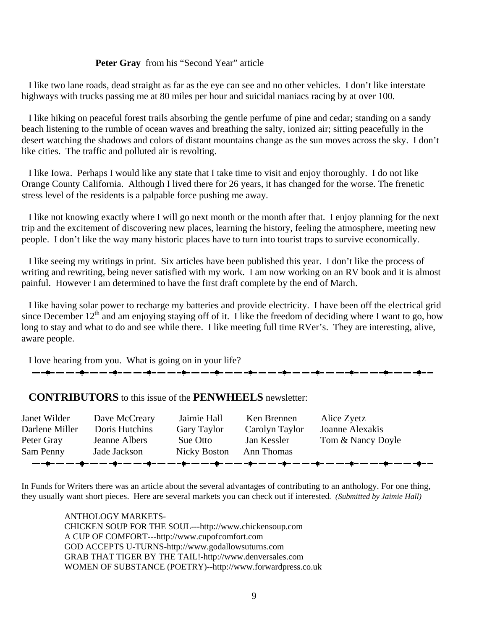# **Peter Gray** from his "Second Year" article

 I like two lane roads, dead straight as far as the eye can see and no other vehicles. I don't like interstate highways with trucks passing me at 80 miles per hour and suicidal maniacs racing by at over 100.

 I like hiking on peaceful forest trails absorbing the gentle perfume of pine and cedar; standing on a sandy beach listening to the rumble of ocean waves and breathing the salty, ionized air; sitting peacefully in the desert watching the shadows and colors of distant mountains change as the sun moves across the sky. I don't like cities. The traffic and polluted air is revolting.

 I like Iowa. Perhaps I would like any state that I take time to visit and enjoy thoroughly. I do not like Orange County California. Although I lived there for 26 years, it has changed for the worse. The frenetic stress level of the residents is a palpable force pushing me away.

 I like not knowing exactly where I will go next month or the month after that. I enjoy planning for the next trip and the excitement of discovering new places, learning the history, feeling the atmosphere, meeting new people. I don't like the way many historic places have to turn into tourist traps to survive economically.

 I like seeing my writings in print. Six articles have been published this year. I don't like the process of writing and rewriting, being never satisfied with my work. I am now working on an RV book and it is almost painful. However I am determined to have the first draft complete by the end of March.

 I like having solar power to recharge my batteries and provide electricity. I have been off the electrical grid since December  $12<sup>th</sup>$  and am enjoying staying off of it. I like the freedom of deciding where I want to go, how long to stay and what to do and see while there. I like meeting full time RVer's. They are interesting, alive, aware people.

I love hearing from you. What is going on in your life?

<del>▁</del>▁▗<mark>▖</mark>▁▁▁▃<sub>▝</sub><sub></sub>▖▁▁▃▃<sub>▜</sub>▖▂▁▃<sub>▜</sub>▖▁▁▃<sub>▜</sub>▖▁▁▃<sub>▝</sub>▖▁▂▁▂<sub>▜</sub>▖▁▂▁▂<sub>▜</sub>▖▁▁▃▁<sub>▜</sub>▖▁▂▂<sub>▜</sub>▖▁▁▂▖<sub>▜</sub>▖▁▁

# **CONTRIBUTORS** to this issue of the **PENWHEELS** newsletter:

| Janet Wilder   | Dave McCreary  | Jaimie Hall  | Ken Brennen    | Alice Zyetz                                                                                     |
|----------------|----------------|--------------|----------------|-------------------------------------------------------------------------------------------------|
| Darlene Miller | Doris Hutchins | Gary Taylor  | Carolyn Taylor | Joanne Alexakis                                                                                 |
| Peter Gray     | Jeanne Albers  | Sue Otto     | Jan Kessler    | Tom & Nancy Doyle                                                                               |
| Sam Penny      | Jade Jackson   | Nicky Boston | Ann Thomas     |                                                                                                 |
|                |                |              |                | <del>ॱ</del> ▄▃⋠▄▃▄▃▄⋠▄▃▄▃▄⋠▄▃▄▃⋠▄▃▄▃▄⋠▄▄▄▃⋠▄▃▄▃▟ <i>▖▄</i> ▗▅▗⋠▄▗▄▗▅▗⋠▄▃▄▃▖⋠▖▄▖▄▖⋠▄▃▄▗▄▟▄▗▄▃▄▟ |

In Funds for Writers there was an article about the several advantages of contributing to an anthology. For one thing, they usually want short pieces. Here are several markets you can check out if interested*. (Submitted by Jaimie Hall)*

> ANTHOLOGY MARKETS-CHICKEN SOUP FOR THE SOUL---http://www.chickensoup.com A CUP OF COMFORT---http://www.cupofcomfort.com GOD ACCEPTS U-TURNS-http://www.godallowsuturns.com GRAB THAT TIGER BY THE TAIL!-http://www.denversales.com WOMEN OF SUBSTANCE (POETRY)--http://www.forwardpress.co.uk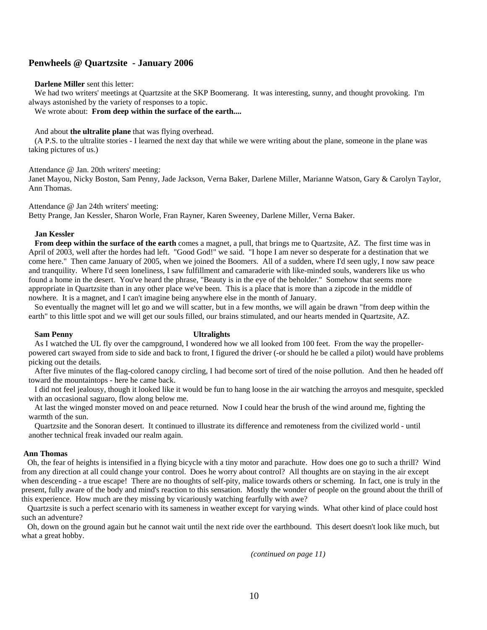### **Penwheels @ Quartzsite - January 2006**

#### **Darlene Miller** sent this letter:

We had two writers' meetings at Quartzsite at the SKP Boomerang. It was interesting, sunny, and thought provoking. I'm always astonished by the variety of responses to a topic.

We wrote about: **From deep within the surface of the earth....**

And about **the ultralite plane** that was flying overhead.

 (A P.S. to the ultralite stories - I learned the next day that while we were writing about the plane, someone in the plane was taking pictures of us.)

Attendance @ Jan. 20th writers' meeting:

Janet Mayou, Nicky Boston, Sam Penny, Jade Jackson, Verna Baker, Darlene Miller, Marianne Watson, Gary & Carolyn Taylor, Ann Thomas.

Attendance @ Jan 24th writers' meeting:

Betty Prange, Jan Kessler, Sharon Worle, Fran Rayner, Karen Sweeney, Darlene Miller, Verna Baker.

#### **Jan Kessler**

**From deep within the surface of the earth** comes a magnet, a pull, that brings me to Quartzsite, AZ. The first time was in April of 2003, well after the hordes had left. "Good God!" we said. "I hope I am never so desperate for a destination that we come here." Then came January of 2005, when we joined the Boomers. All of a sudden, where I'd seen ugly, I now saw peace and tranquility. Where I'd seen loneliness, I saw fulfillment and camaraderie with like-minded souls, wanderers like us who found a home in the desert. You've heard the phrase, "Beauty is in the eye of the beholder." Somehow that seems more appropriate in Quartzsite than in any other place we've been. This is a place that is more than a zipcode in the middle of nowhere. It is a magnet, and I can't imagine being anywhere else in the month of January.

 So eventually the magnet will let go and we will scatter, but in a few months, we will again be drawn "from deep within the earth" to this little spot and we will get our souls filled, our brains stimulated, and our hearts mended in Quartzsite, AZ.

#### **Sam Penny Ultralights**

As I watched the UL fly over the campground, I wondered how we all looked from 100 feet. From the way the propellerpowered cart swayed from side to side and back to front, I figured the driver (-or should he be called a pilot) would have problems picking out the details.

 After five minutes of the flag-colored canopy circling, I had become sort of tired of the noise pollution. And then he headed off toward the mountaintops - here he came back.

 I did not feel jealousy, though it looked like it would be fun to hang loose in the air watching the arroyos and mesquite, speckled with an occasional saguaro, flow along below me.

 At last the winged monster moved on and peace returned. Now I could hear the brush of the wind around me, fighting the warmth of the sun.

 Quartzsite and the Sonoran desert. It continued to illustrate its difference and remoteness from the civilized world - until another technical freak invaded our realm again.

#### **Ann Thomas**

 Oh, the fear of heights is intensified in a flying bicycle with a tiny motor and parachute. How does one go to such a thrill? Wind from any direction at all could change your control. Does he worry about control? All thoughts are on staying in the air except when descending - a true escape! There are no thoughts of self-pity, malice towards others or scheming. In fact, one is truly in the present, fully aware of the body and mind's reaction to this sensation. Mostly the wonder of people on the ground about the thrill of this experience. How much are they missing by vicariously watching fearfully with awe?

 Quartzsite is such a perfect scenario with its sameness in weather except for varying winds. What other kind of place could host such an adventure?

 Oh, down on the ground again but he cannot wait until the next ride over the earthbound. This desert doesn't look like much, but what a great hobby.

 *(continued on page 11)*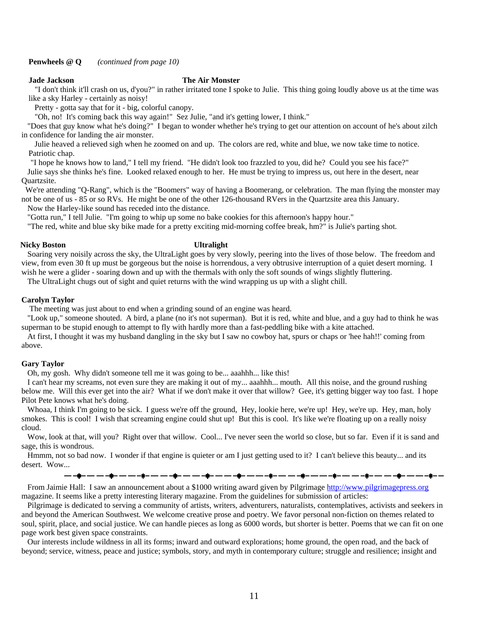#### **Jade Jackson The Air Monster**

 "I don't think it'll crash on us, d'you?" in rather irritated tone I spoke to Julie. This thing going loudly above us at the time was like a sky Harley - certainly as noisy!

Pretty - gotta say that for it - big, colorful canopy.

"Oh, no! It's coming back this way again!" Sez Julie, "and it's getting lower, I think."

 "Does that guy know what he's doing?" I began to wonder whether he's trying to get our attention on account of he's about zilch in confidence for landing the air monster.

 Julie heaved a relieved sigh when he zoomed on and up. The colors are red, white and blue, we now take time to notice. Patriotic chap.

"I hope he knows how to land," I tell my friend. "He didn't look too frazzled to you, did he? Could you see his face?"

 Julie says she thinks he's fine. Looked relaxed enough to her. He must be trying to impress us, out here in the desert, near Quartzsite.

 We're attending "Q-Rang", which is the "Boomers" way of having a Boomerang, or celebration. The man flying the monster may not be one of us - 85 or so RVs. He might be one of the other 126-thousand RVers in the Quartzsite area this January.

Now the Harley-like sound has receded into the distance.

"Gotta run," I tell Julie. "I'm going to whip up some no bake cookies for this afternoon's happy hour."

"The red, white and blue sky bike made for a pretty exciting mid-morning coffee break, hm?" is Julie's parting shot.

#### **Nicky Boston Ultralight**

Soaring very noisily across the sky, the UltraLight goes by very slowly, peering into the lives of those below. The freedom and view, from even 30 ft up must be gorgeous but the noise is horrendous, a very obtrusive interruption of a quiet desert morning. I wish he were a glider - soaring down and up with the thermals with only the soft sounds of wings slightly fluttering.

The UltraLight chugs out of sight and quiet returns with the wind wrapping us up with a slight chill.

#### **Carolyn Taylor**

The meeting was just about to end when a grinding sound of an engine was heard.

 "Look up," someone shouted. A bird, a plane (no it's not superman). But it is red, white and blue, and a guy had to think he was superman to be stupid enough to attempt to fly with hardly more than a fast-peddling bike with a kite attached.

 At first, I thought it was my husband dangling in the sky but I saw no cowboy hat, spurs or chaps or 'hee hah!!' coming from above.

#### **Gary Taylor**

Oh, my gosh. Why didn't someone tell me it was going to be... aaahhh... like this!

 I can't hear my screams, not even sure they are making it out of my... aaahhh... mouth. All this noise, and the ground rushing below me. Will this ever get into the air? What if we don't make it over that willow? Gee, it's getting bigger way too fast. I hope Pilot Pete knows what he's doing.

Whoaa, I think I'm going to be sick. I guess we're off the ground, Hey, lookie here, we're up! Hey, we're up. Hey, man, holy smokes. This is cool! I wish that screaming engine could shut up! But this is cool. It's like we're floating up on a really noisy cloud.

 Wow, look at that, will you? Right over that willow. Cool... I've never seen the world so close, but so far. Even if it is sand and sage, this is wondrous.

 Hmmm, not so bad now. I wonder if that engine is quieter or am I just getting used to it? I can't believe this beauty... and its desert. Wow...

 From Jaimie Hall: I saw an announcement about a \$1000 writing award given by Pilgrimage [http://www.pilgrimagepress.org](http://www.pilgrimagepress.org/) magazine. It seems like a pretty interesting literary magazine. From the guidelines for submission of articles:

 Pilgrimage is dedicated to serving a community of artists, writers, adventurers, naturalists, contemplatives, activists and seekers in and beyond the American Southwest. We welcome creative prose and poetry. We favor personal non-fiction on themes related to soul, spirit, place, and social justice. We can handle pieces as long as 6000 words, but shorter is better. Poems that we can fit on one page work best given space constraints.

 Our interests include wildness in all its forms; inward and outward explorations; home ground, the open road, and the back of beyond; service, witness, peace and justice; symbols, story, and myth in contemporary culture; struggle and resilience; insight and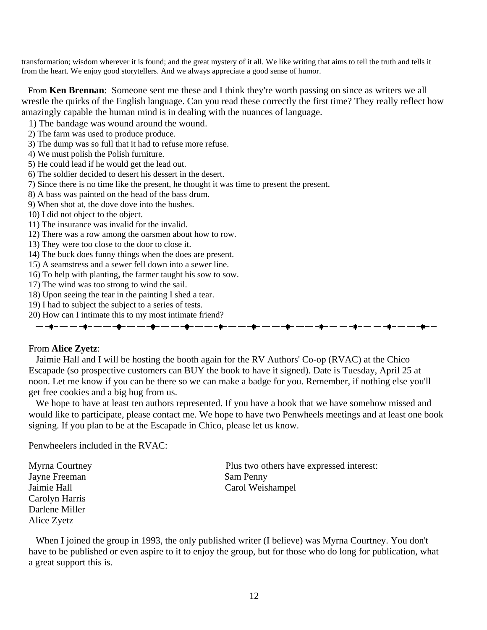transformation; wisdom wherever it is found; and the great mystery of it all. We like writing that aims to tell the truth and tells it from the heart. We enjoy good storytellers. And we always appreciate a good sense of humor.

 From **Ken Brennan**: Someone sent me these and I think they're worth passing on since as writers we all wrestle the quirks of the English language. Can you read these correctly the first time? They really reflect how amazingly capable the human mind is in dealing with the nuances of language.

- 1) The bandage was wound around the wound.
- 2) The farm was used to produce produce.
- 3) The dump was so full that it had to refuse more refuse.
- 4) We must polish the Polish furniture.
- 5) He could lead if he would get the lead out.
- 6) The soldier decided to desert his dessert in the desert.
- 7) Since there is no time like the present, he thought it was time to present the present.
- 8) A bass was painted on the head of the bass drum.
- 9) When shot at, the dove dove into the bushes.
- 10) I did not object to the object.
- 11) The insurance was invalid for the invalid.
- 12) There was a row among the oarsmen about how to row.
- 13) They were too close to the door to close it.
- 14) The buck does funny things when the does are present.
- 15) A seamstress and a sewer fell down into a sewer line.
- 16) To help with planting, the farmer taught his sow to sow.
- 17) The wind was too strong to wind the sail.
- 18) Upon seeing the tear in the painting I shed a tear.
- 19) I had to subject the subject to a series of tests.
- 20) How can I intimate this to my most intimate friend?

# <del>▁</del>▁▁▆▃▁▃▁▁▃▅▃▁▃▁▁▃▅▄▁▃▁▃▁▄▅▃▁▃▁▃▄▅▁▃▁▃▁▄▅▁▃▁▃▁▄▅▁▃▁▃▁▅▅▁▃▁▃▁▅▅▁▃▁▃▁▄▅<sup>▁</sup>▃

# From **Alice Zyetz**:

 Jaimie Hall and I will be hosting the booth again for the RV Authors' Co-op (RVAC) at the Chico Escapade (so prospective customers can BUY the book to have it signed). Date is Tuesday, April 25 at noon. Let me know if you can be there so we can make a badge for you. Remember, if nothing else you'll get free cookies and a big hug from us.

 We hope to have at least ten authors represented. If you have a book that we have somehow missed and would like to participate, please contact me. We hope to have two Penwheels meetings and at least one book signing. If you plan to be at the Escapade in Chico, please let us know.

Penwheelers included in the RVAC:

Jayne Freeman Sam Penny Carolyn Harris Darlene Miller Alice Zyetz

Myrna Courtney Plus two others have expressed interest: Jaimie Hall Carol Weishampel

 When I joined the group in 1993, the only published writer (I believe) was Myrna Courtney. You don't have to be published or even aspire to it to enjoy the group, but for those who do long for publication, what a great support this is.